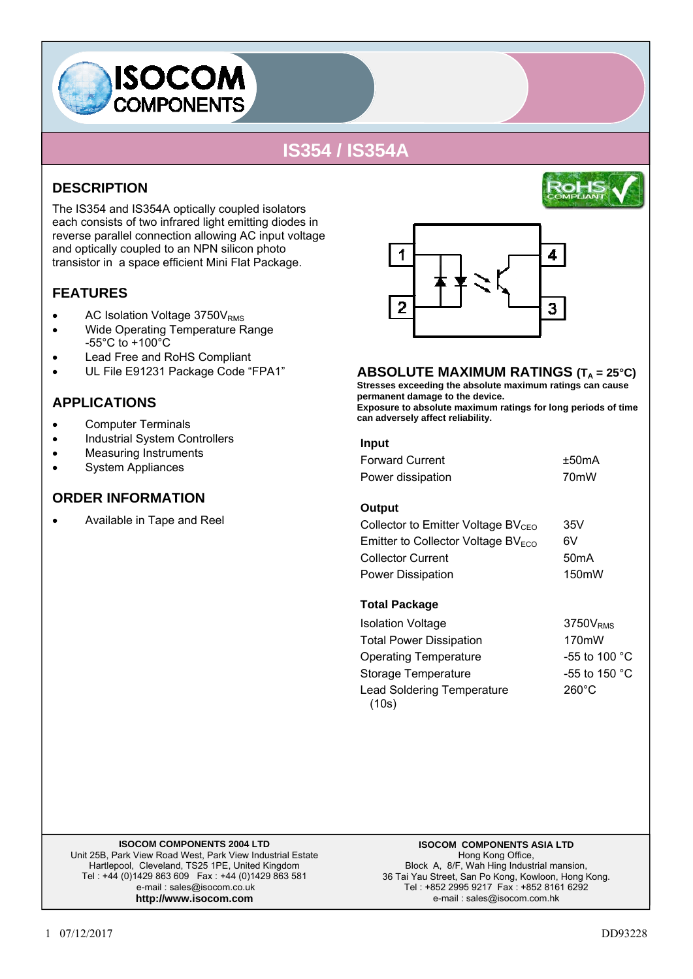

### **DESCRIPTION**

The IS354 and IS354A optically coupled isolators each consists of two infrared light emitting diodes in reverse parallel connection allowing AC input voltage and optically coupled to an NPN silicon photo transistor in a space efficient Mini Flat Package.

### **FEATURES**

- AC Isolation Voltage 3750V<sub>RMS</sub>
- Wide Operating Temperature Range -55°C to +100°C
- Lead Free and RoHS Compliant
- UL File E91231 Package Code "FPA1"

### **APPLICATIONS**

- Computer Terminals
- Industrial System Controllers
- Measuring Instruments
- System Appliances

#### **ORDER INFORMATION**

• Available in Tape and Reel



#### **ABSOLUTE MAXIMUM RATINGS (T<sub>A</sub> = 25°C)**

**Stresses exceeding the absolute maximum ratings can cause permanent damage to the device. Exposure to absolute maximum ratings for long periods of time can adversely affect reliability.**

#### **Input**

| <b>Forward Current</b> | ±50mA             |
|------------------------|-------------------|
| Power dissipation      | 70 <sub>m</sub> W |

#### **Output**

| Collector to Emitter Voltage $BV_{CFO}$ | 35V                |
|-----------------------------------------|--------------------|
| Emitter to Collector Voltage $BVECO$    | 6V                 |
| <b>Collector Current</b>                | 50 <sub>m</sub> A  |
| Power Dissipation                       | 150 <sub>m</sub> W |

#### **Total Package**

Isolation Voltage 3750V<sub>RMS</sub> Total Power Dissipation 170mW Operating Temperature -55 to 100 °C Storage Temperature -55 to 150 °C Lead Soldering Temperature (10s)  $260^\circ C$ 

#### **ISOCOM COMPONENTS 2004 LTD**

Unit 25B, Park View Road West, Park View Industrial Estate Hartlepool, Cleveland, TS25 1PE, United Kingdom Tel : +44 (0)1429 863 609 Fax : +44 (0)1429 863 581 e-mail : sales@isocom.co.uk **http://www.isocom.com** 

**ISOCOM COMPONENTS ASIA LTD**  Hong Kong Office, Block A, 8/F, Wah Hing Industrial mansion, 36 Tai Yau Street, San Po Kong, Kowloon, Hong Kong. Tel : +852 2995 9217 Fax : +852 8161 6292 e-mail : sales@isocom.com.hk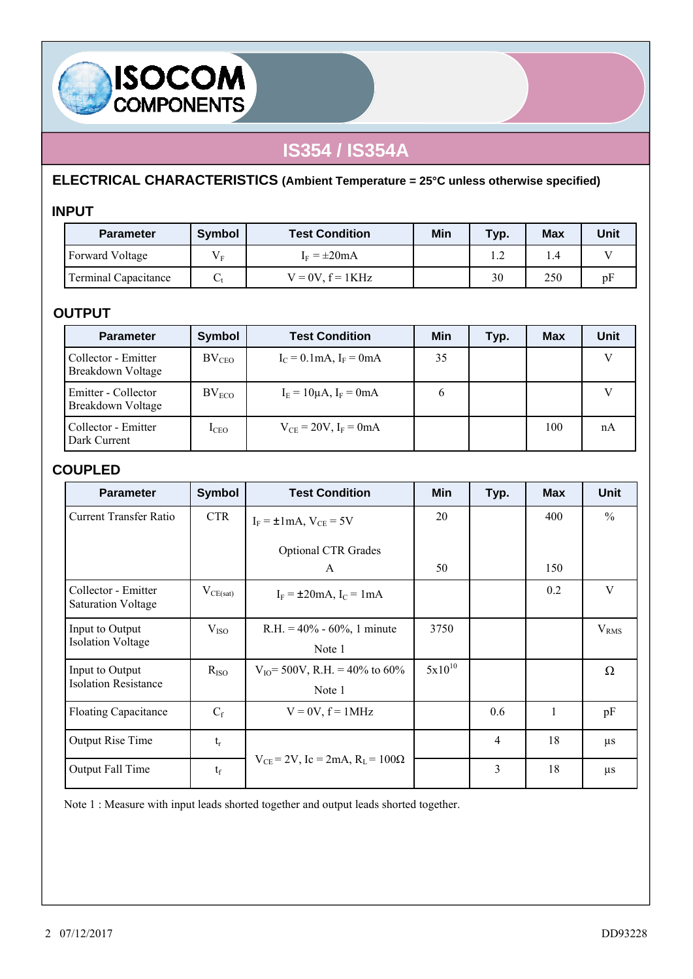

### **ELECTRICAL CHARACTERISTICS (Ambient Temperature = 25°C unless otherwise specified)**

### **INPUT**

**ISOCOM**<br>COMPONENTS

| <b>Parameter</b>            | <b>Symbol</b>                 | <b>Test Condition</b>    | Min | Typ. | <b>Max</b> | Unit |
|-----------------------------|-------------------------------|--------------------------|-----|------|------------|------|
| Forward Voltage             | $V_{\scriptscriptstyle\rm E}$ | $I_F = \pm 20 \text{mA}$ |     |      | 1.4        |      |
| <b>Terminal Capacitance</b> | ◡                             | $V = 0V$ , $f = 1KHz$    |     | 30   | 250        | pF   |

### **OUTPUT**

| <b>Parameter</b>                         | <b>Symbol</b>     | <b>Test Condition</b>                       | Min | Typ. | <b>Max</b> | Unit |
|------------------------------------------|-------------------|---------------------------------------------|-----|------|------------|------|
| Collector - Emitter<br>Breakdown Voltage | BV <sub>CEO</sub> | $I_C = 0.1 \text{mA}$ , $I_F = 0 \text{mA}$ | 35  |      |            |      |
| Emitter - Collector<br>Breakdown Voltage | $BV_{ECO}$        | $I_E = 10 \mu A$ , $I_F = 0 mA$             | 6   |      |            |      |
| Collector - Emitter<br>Dark Current      | 1 <sub>CEO</sub>  | $V_{CF} = 20V$ , $I_F = 0mA$                |     |      | 100        | nA   |

### **COUPLED**

| <b>Parameter</b>                                 | <b>Symbol</b>          | <b>Test Condition</b>                                  | <b>Min</b>  | Typ.           | <b>Max</b> | <b>Unit</b>      |
|--------------------------------------------------|------------------------|--------------------------------------------------------|-------------|----------------|------------|------------------|
| Current Transfer Ratio                           | <b>CTR</b>             | $I_F = \pm 1$ mA, $V_{CE} = 5V$                        | 20          |                | 400        | $\frac{0}{0}$    |
|                                                  |                        | <b>Optional CTR Grades</b><br>$\mathsf{A}$             | 50          |                | 150        |                  |
| Collector - Emitter<br><b>Saturation Voltage</b> | $V_{CE(sat)}$          | $I_F = \pm 20$ mA, $I_C = 1$ mA                        |             |                | 0.2        | V                |
| Input to Output<br><b>Isolation Voltage</b>      | V <sub>ISO</sub>       | $R.H. = 40\% - 60\%$ , 1 minute<br>Note 1              | 3750        |                |            | V <sub>RMS</sub> |
| Input to Output<br><b>Isolation Resistance</b>   | $R_{ISO}$              | $V_{IO}$ = 500V, R.H. = 40% to 60%<br>Note 1           | $5x10^{10}$ |                |            | Ω                |
| <b>Floating Capacitance</b>                      | $C_f$                  | $V = 0V$ , $f = 1MHz$                                  |             | 0.6            | 1          | pF               |
| Output Rise Time                                 | $\mathfrak{t}_{\rm r}$ |                                                        |             | $\overline{4}$ | 18         | $\mu$ s          |
| Output Fall Time                                 | $t_f$                  | $V_{CE}$ = 2V, Ic = 2mA, R <sub>L</sub> = 100 $\Omega$ |             | 3              | 18         | $\mu$ s          |

Note 1 : Measure with input leads shorted together and output leads shorted together.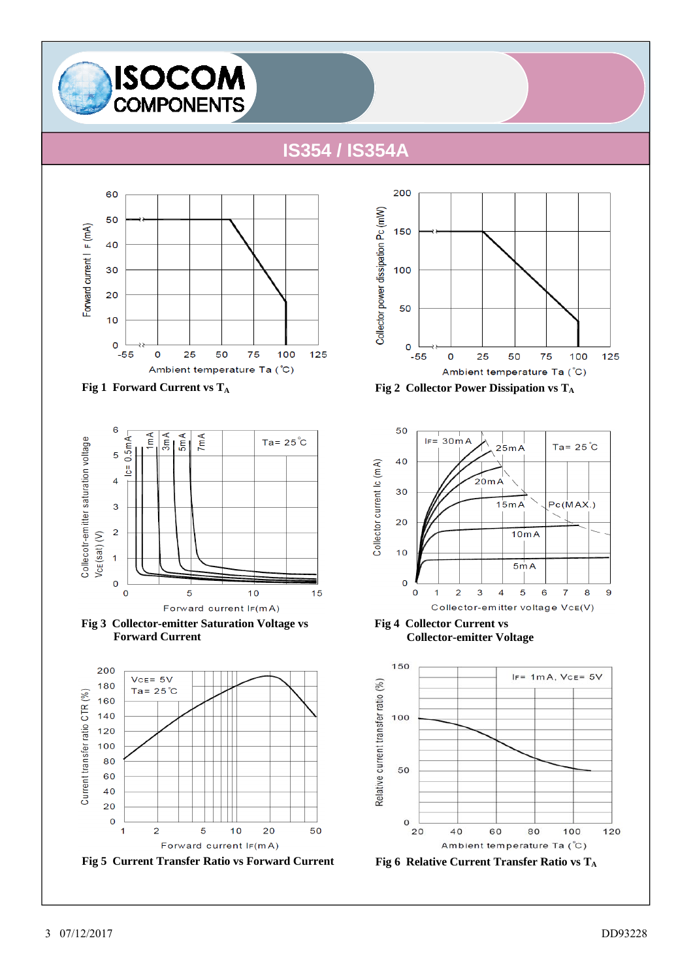











**Fig 1 Forward Current vs T<sub>A</sub> Fig 2 Collector Power Dissipation vs T<sub>A</sub>** 



**Fig 4 Collector Current vs Collector-emitter Voltage**

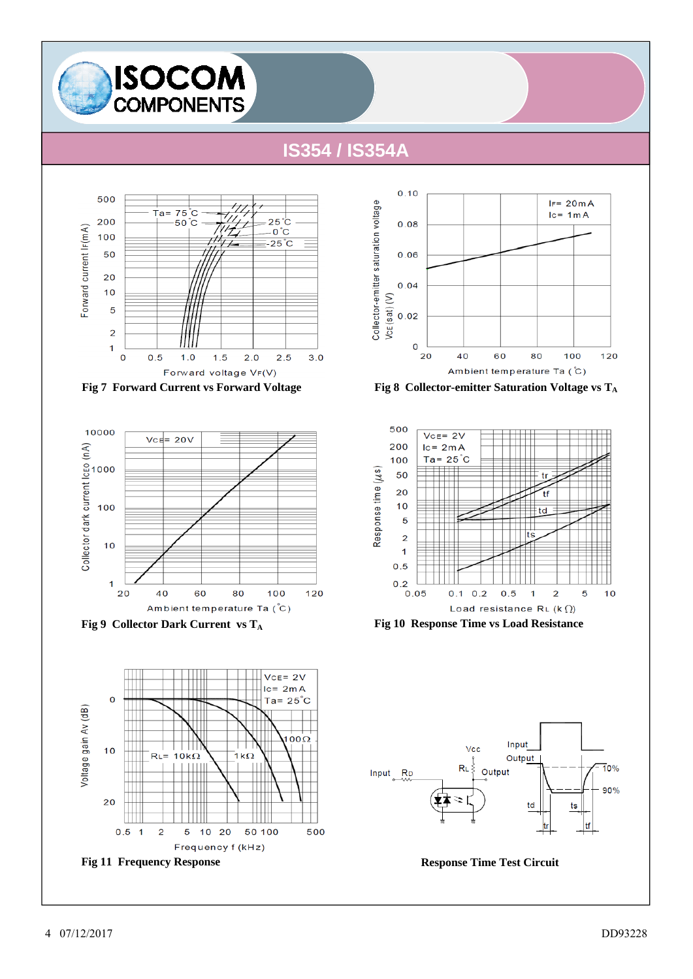













Fig 9 Collector Dark Current vs T<sub>A</sub> Fig 10 Response Time vs Load Resistance



 $VCE = 2V$  $lc = 2mA$  $\mathsf{o}$ Ta= $25^{\circ}$ C Voltage gain Av (dB)  $\overline{000}$  $10$  $R<sub>L</sub>$  $10k\Omega$ 1 $k\Omega$ 20  $0.5<sub>1</sub>$  $\overline{\mathbf{c}}$ 10 20 50 100 500 5 Frequency f (kHz) **Fig 11 Frequency Response Response Time Test Circuit**

4 07/12/2017 DD93228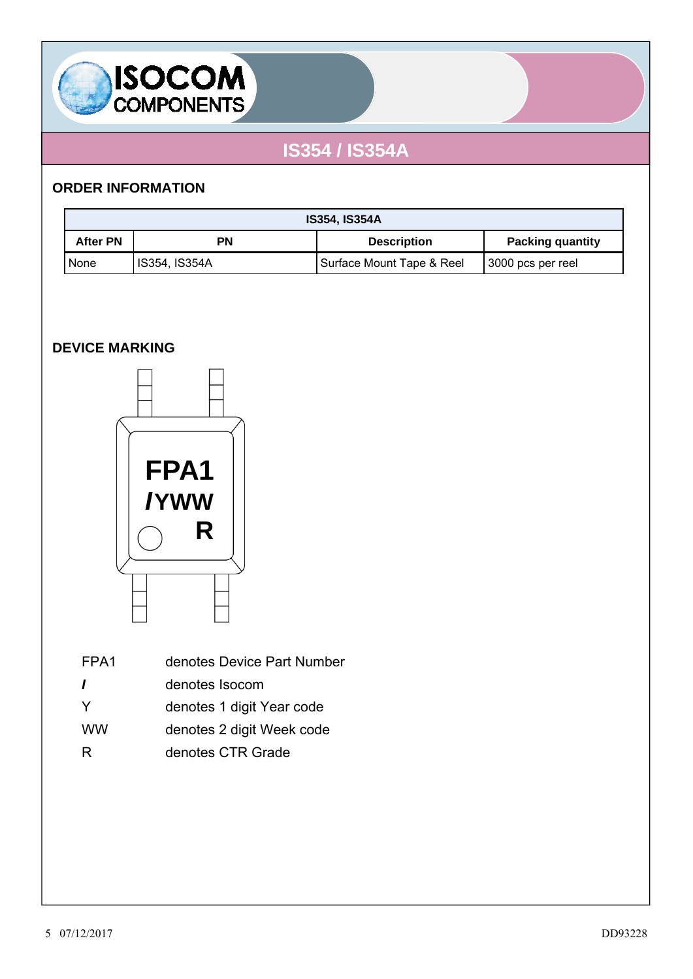

### **ORDER INFORMATION**

| <b>IS354, IS354A</b> |                      |                           |                         |  |
|----------------------|----------------------|---------------------------|-------------------------|--|
| <b>After PN</b>      | PN                   | <b>Description</b>        | <b>Packing quantity</b> |  |
| None                 | <b>IS354, IS354A</b> | Surface Mount Tape & Reel | 3000 pcs per reel       |  |

### **DEVICE MARKING**



| FPA1 | denotes Device Part Number |
|------|----------------------------|
|      |                            |

- *I* denotes Isocom
- Y denotes 1 digit Year code
- WW denotes 2 digit Week code
- R denotes CTR Grade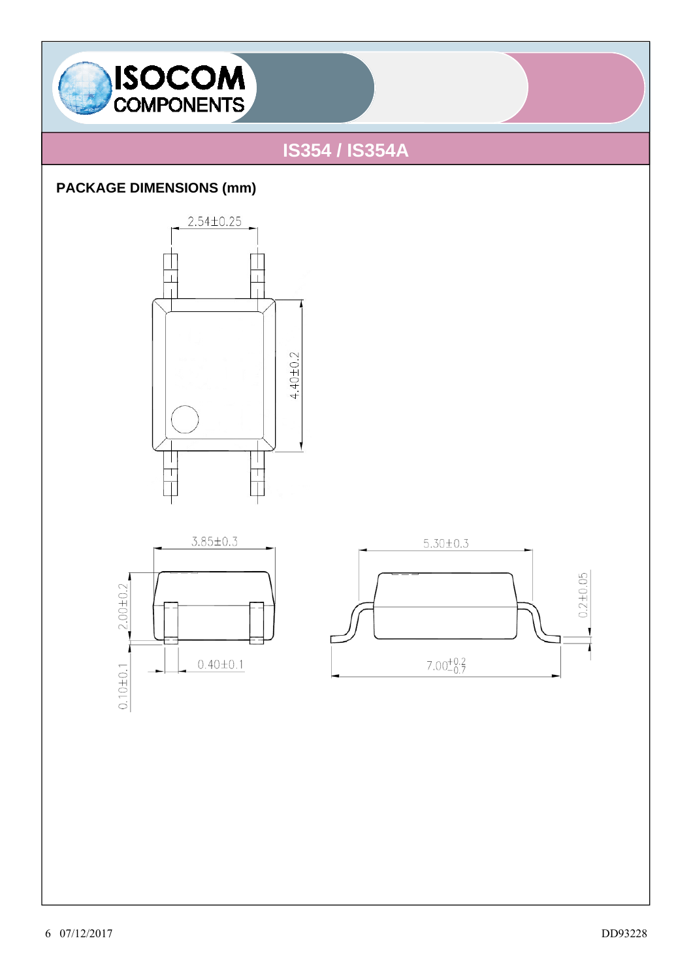

### **PACKAGE DIMENSIONS (mm)**





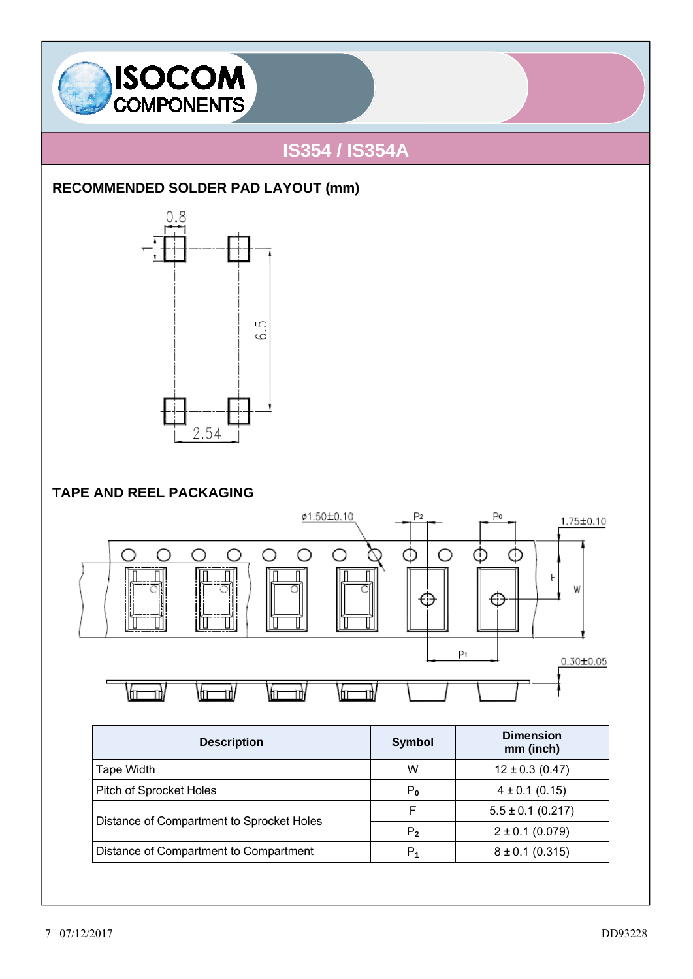

### **RECOMMENDED SOLDER PAD LAYOUT (mm)**



### **TAPE AND REEL PACKAGING**



| <b>Description</b>                        | <b>Symbol</b>  | <b>Dimension</b><br>mm (inch) |
|-------------------------------------------|----------------|-------------------------------|
| Tape Width                                | W              | $12 \pm 0.3$ (0.47)           |
| Pitch of Sprocket Holes                   | $P_0$          | $4 \pm 0.1$ (0.15)            |
| Distance of Compartment to Sprocket Holes | F              | $5.5 \pm 0.1$ (0.217)         |
|                                           | P <sub>2</sub> | $2 \pm 0.1$ (0.079)           |
| Distance of Compartment to Compartment    | P,             | $8 \pm 0.1$ (0.315)           |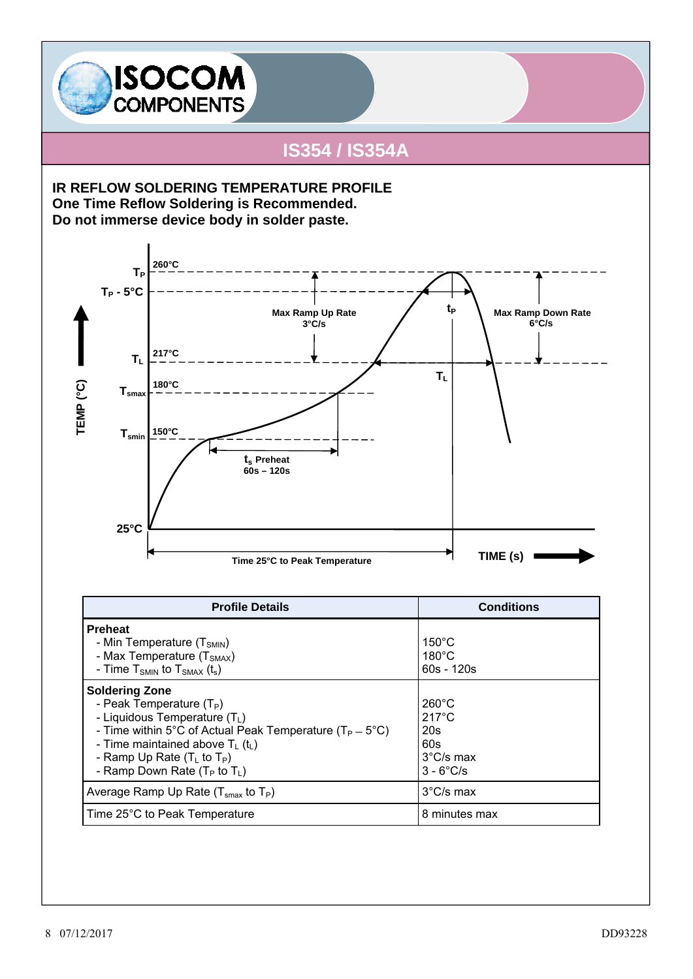

**IR REFLOW SOLDERING TEMPERATURE PROFILE One Time Reflow Soldering is Recommended. Do not immerse device body in solder paste.** 



| <b>Profile Details</b>                                                                                                                                                                                                                                              | <b>Conditions</b>                                                                              |
|---------------------------------------------------------------------------------------------------------------------------------------------------------------------------------------------------------------------------------------------------------------------|------------------------------------------------------------------------------------------------|
| <b>Preheat</b><br>- Min Temperature $(T_{SMIN})$<br>- Max Temperature $(TSMAX)$<br>- Time $T_{SMIN}$ to $T_{SMAX}$ (t <sub>s</sub> )                                                                                                                                | $150^{\circ}$ C<br>$180^{\circ}$ C<br>$60s - 120s$                                             |
| <b>Soldering Zone</b><br>- Peak Temperature $(T_P)$<br>- Liquidous Temperature $(T_L)$<br>- Time within 5°C of Actual Peak Temperature ( $T_P = 5$ °C)<br>- Time maintained above $T_1(t_1)$<br>- Ramp Up Rate $(TL$ to $TP)$<br>- Ramp Down Rate $(T_P$ to $T_I$ ) | $260^{\circ}$ C<br>$217^{\circ}$ C<br>20s<br>60s<br>$3^{\circ}$ C/s max<br>$3 - 6^{\circ}$ C/s |
| Average Ramp Up Rate ( $T_{\text{smax}}$ to $T_P$ )                                                                                                                                                                                                                 | $3^{\circ}$ C/s max                                                                            |
| Time 25°C to Peak Temperature                                                                                                                                                                                                                                       | 8 minutes max                                                                                  |